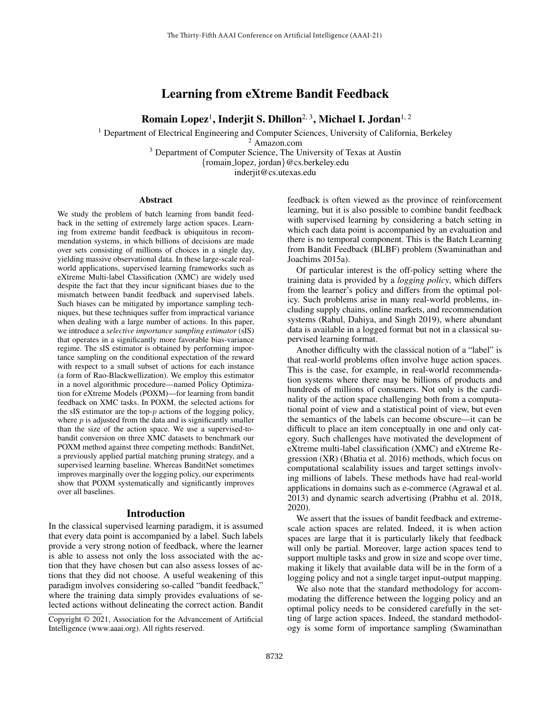# Learning from eXtreme Bandit Feedback

# Romain Lopez<sup>1</sup>, Inderjit S. Dhillon<sup>2, 3</sup>, Michael I. Jordan<sup>1, 2</sup>

<sup>1</sup> Department of Electrical Engineering and Computer Sciences, University of California, Berkeley

<sup>2</sup> Amazon.com

<sup>3</sup> Department of Computer Science, The University of Texas at Austin

{romain lopez, jordan}@cs.berkeley.edu

inderjit@cs.utexas.edu

#### Abstract

We study the problem of batch learning from bandit feedback in the setting of extremely large action spaces. Learning from extreme bandit feedback is ubiquitous in recommendation systems, in which billions of decisions are made over sets consisting of millions of choices in a single day, yielding massive observational data. In these large-scale realworld applications, supervised learning frameworks such as eXtreme Multi-label Classification (XMC) are widely used despite the fact that they incur significant biases due to the mismatch between bandit feedback and supervised labels. Such biases can be mitigated by importance sampling techniques, but these techniques suffer from impractical variance when dealing with a large number of actions. In this paper, we introduce a *selective importance sampling estimator* (sIS) that operates in a significantly more favorable bias-variance regime. The sIS estimator is obtained by performing importance sampling on the conditional expectation of the reward with respect to a small subset of actions for each instance (a form of Rao-Blackwellization). We employ this estimator in a novel algorithmic procedure—named Policy Optimization for eXtreme Models (POXM)—for learning from bandit feedback on XMC tasks. In POXM, the selected actions for the sIS estimator are the top- $p$  actions of the logging policy, where  $p$  is adjusted from the data and is significantly smaller than the size of the action space. We use a supervised-tobandit conversion on three XMC datasets to benchmark our POXM method against three competing methods: BanditNet, a previously applied partial matching pruning strategy, and a supervised learning baseline. Whereas BanditNet sometimes improves marginally over the logging policy, our experiments show that POXM systematically and significantly improves over all baselines.

## Introduction

In the classical supervised learning paradigm, it is assumed that every data point is accompanied by a label. Such labels provide a very strong notion of feedback, where the learner is able to assess not only the loss associated with the action that they have chosen but can also assess losses of actions that they did not choose. A useful weakening of this paradigm involves considering so-called "bandit feedback," where the training data simply provides evaluations of selected actions without delineating the correct action. Bandit feedback is often viewed as the province of reinforcement learning, but it is also possible to combine bandit feedback with supervised learning by considering a batch setting in which each data point is accompanied by an evaluation and there is no temporal component. This is the Batch Learning from Bandit Feedback (BLBF) problem (Swaminathan and Joachims 2015a).

Of particular interest is the off-policy setting where the training data is provided by a *logging policy*, which differs from the learner's policy and differs from the optimal policy. Such problems arise in many real-world problems, including supply chains, online markets, and recommendation systems (Rahul, Dahiya, and Singh 2019), where abundant data is available in a logged format but not in a classical supervised learning format.

Another difficulty with the classical notion of a "label" is that real-world problems often involve huge action spaces. This is the case, for example, in real-world recommendation systems where there may be billions of products and hundreds of millions of consumers. Not only is the cardinality of the action space challenging both from a computational point of view and a statistical point of view, but even the semantics of the labels can become obscure—it can be difficult to place an item conceptually in one and only category. Such challenges have motivated the development of eXtreme multi-label classification (XMC) and eXtreme Regression (XR) (Bhatia et al. 2016) methods, which focus on computational scalability issues and target settings involving millions of labels. These methods have had real-world applications in domains such as e-commerce (Agrawal et al. 2013) and dynamic search advertising (Prabhu et al. 2018, 2020).

We assert that the issues of bandit feedback and extremescale action spaces are related. Indeed, it is when action spaces are large that it is particularly likely that feedback will only be partial. Moreover, large action spaces tend to support multiple tasks and grow in size and scope over time, making it likely that available data will be in the form of a logging policy and not a single target input-output mapping.

We also note that the standard methodology for accommodating the difference between the logging policy and an optimal policy needs to be considered carefully in the setting of large action spaces. Indeed, the standard methodology is some form of importance sampling (Swaminathan

Copyright © 2021, Association for the Advancement of Artificial Intelligence (www.aaai.org). All rights reserved.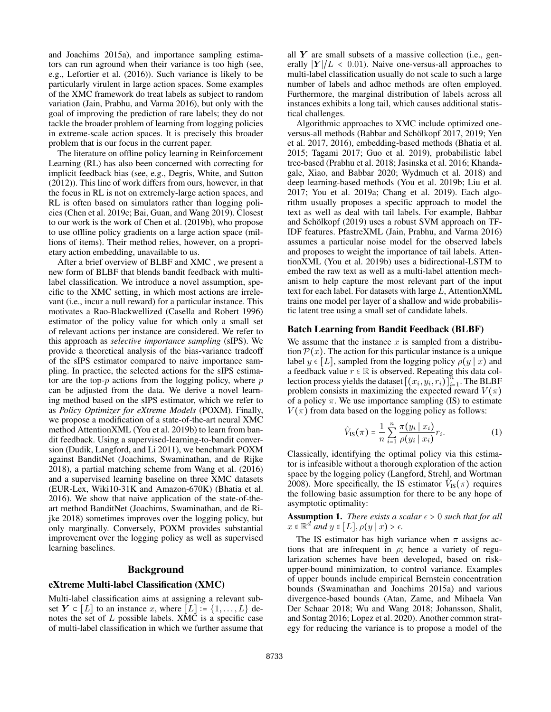and Joachims 2015a), and importance sampling estimators can run aground when their variance is too high (see, e.g., Lefortier et al. (2016)). Such variance is likely to be particularly virulent in large action spaces. Some examples of the XMC framework do treat labels as subject to random variation (Jain, Prabhu, and Varma 2016), but only with the goal of improving the prediction of rare labels; they do not tackle the broader problem of learning from logging policies in extreme-scale action spaces. It is precisely this broader problem that is our focus in the current paper.

The literature on offline policy learning in Reinforcement Learning (RL) has also been concerned with correcting for implicit feedback bias (see, e.g., Degris, White, and Sutton (2012)). This line of work differs from ours, however, in that the focus in RL is not on extremely-large action spaces, and RL is often based on simulators rather than logging policies (Chen et al. 2019c; Bai, Guan, and Wang 2019). Closest to our work is the work of Chen et al. (2019b), who propose to use offline policy gradients on a large action space (millions of items). Their method relies, however, on a proprietary action embedding, unavailable to us.

After a brief overview of BLBF and XMC , we present a new form of BLBF that blends bandit feedback with multilabel classification. We introduce a novel assumption, specific to the XMC setting, in which most actions are irrelevant (i.e., incur a null reward) for a particular instance. This motivates a Rao-Blackwellized (Casella and Robert 1996) estimator of the policy value for which only a small set of relevant actions per instance are considered. We refer to this approach as *selective importance sampling* (sIPS). We provide a theoretical analysis of the bias-variance tradeoff of the sIPS estimator compared to naive importance sampling. In practice, the selected actions for the sIPS estimator are the top- $p$  actions from the logging policy, where  $p$ can be adjusted from the data. We derive a novel learning method based on the sIPS estimator, which we refer to as *Policy Optimizer for eXtreme Models* (POXM). Finally, we propose a modification of a state-of-the-art neural XMC method AttentionXML (You et al. 2019b) to learn from bandit feedback. Using a supervised-learning-to-bandit conversion (Dudik, Langford, and Li 2011), we benchmark POXM against BanditNet (Joachims, Swaminathan, and de Rijke 2018), a partial matching scheme from Wang et al. (2016) and a supervised learning baseline on three XMC datasets (EUR-Lex, Wiki10-31K and Amazon-670K) (Bhatia et al. 2016). We show that naive application of the state-of-theart method BanditNet (Joachims, Swaminathan, and de Rijke 2018) sometimes improves over the logging policy, but only marginally. Conversely, POXM provides substantial improvement over the logging policy as well as supervised learning baselines.

#### Background

#### eXtreme Multi-label Classification (XMC)

Multi-label classification aims at assigning a relevant subset  $Y \subset [L]$  to an instance x, where  $[L] \coloneqq \{1, \ldots, L\}$  denotes the set of L possible labels. XMC is a specific case of multi-label classification in which we further assume that all  $Y$  are small subsets of a massive collection (i.e., generally  $|Y|/L < 0.01$ ). Naive one-versus-all approaches to multi-label classification usually do not scale to such a large number of labels and adhoc methods are often employed. Furthermore, the marginal distribution of labels across all instances exhibits a long tail, which causes additional statistical challenges.

Algorithmic approaches to XMC include optimized oneversus-all methods (Babbar and Schölkopf 2017, 2019; Yen et al. 2017, 2016), embedding-based methods (Bhatia et al. 2015; Tagami 2017; Guo et al. 2019), probabilistic label tree-based (Prabhu et al. 2018; Jasinska et al. 2016; Khandagale, Xiao, and Babbar 2020; Wydmuch et al. 2018) and deep learning-based methods (You et al. 2019b; Liu et al. 2017; You et al. 2019a; Chang et al. 2019). Each algorithm usually proposes a specific approach to model the text as well as deal with tail labels. For example, Babbar and Schölkopf (2019) uses a robust SVM approach on TF-IDF features. PfastreXML (Jain, Prabhu, and Varma 2016) assumes a particular noise model for the observed labels and proposes to weight the importance of tail labels. AttentionXML (You et al. 2019b) uses a bidirectional-LSTM to embed the raw text as well as a multi-label attention mechanism to help capture the most relevant part of the input text for each label. For datasets with large L, AttentionXML trains one model per layer of a shallow and wide probabilistic latent tree using a small set of candidate labels.

#### Batch Learning from Bandit Feedback (BLBF)

We assume that the instance  $x$  is sampled from a distribution  $P(x)$ . The action for this particular instance is a unique label  $y \in [L]$ , sampled from the logging policy  $\rho(y \mid x)$  and a feedback value  $r \in \mathbb{R}$  is observed. Repeating this data collection process yields the dataset  $[(x_i, y_i, r_i)]_{i=1}^n$ . The BLBF problem consists in maximizing the expected reward  $V(\pi)$ of a policy  $\pi$ . We use importance sampling (IS) to estimate  $V(\pi)$  from data based on the logging policy as follows:

$$
\hat{V}_{\text{IS}}(\pi) = \frac{1}{n} \sum_{i=1}^{n} \frac{\pi(y_i \mid x_i)}{\rho(y_i \mid x_i)} r_i.
$$
 (1)

Classically, identifying the optimal policy via this estimator is infeasible without a thorough exploration of the action space by the logging policy (Langford, Strehl, and Wortman 2008). More specifically, the IS estimator  $\hat{V}_{IS}(\pi)$  requires the following basic assumption for there to be any hope of asymptotic optimality:

**Assumption 1.** *There exists a scalar*  $\epsilon > 0$  *such that for all*  $x \in \mathbb{R}^d$  and  $y \in [L], \rho(y \mid x) > \epsilon$ .

The IS estimator has high variance when  $\pi$  assigns actions that are infrequent in  $\rho$ ; hence a variety of regularization schemes have been developed, based on riskupper-bound minimization, to control variance. Examples of upper bounds include empirical Bernstein concentration bounds (Swaminathan and Joachims 2015a) and various divergence-based bounds (Atan, Zame, and Mihaela Van Der Schaar 2018; Wu and Wang 2018; Johansson, Shalit, and Sontag 2016; Lopez et al. 2020). Another common strategy for reducing the variance is to propose a model of the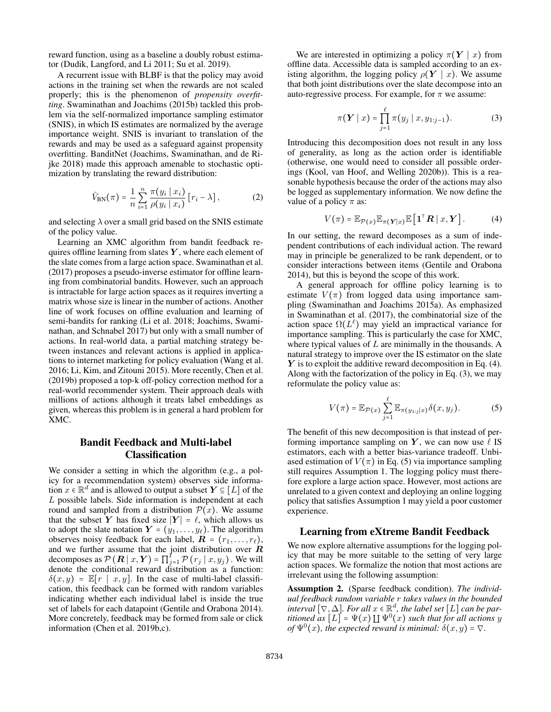reward function, using as a baseline a doubly robust estimator (Dudik, Langford, and Li 2011; Su et al. 2019).

A recurrent issue with BLBF is that the policy may avoid actions in the training set when the rewards are not scaled properly; this is the phenomenon of *propensity overfitting*. Swaminathan and Joachims (2015b) tackled this problem via the self-normalized importance sampling estimator (SNIS), in which IS estimates are normalized by the average importance weight. SNIS is invariant to translation of the rewards and may be used as a safeguard against propensity overfitting. BanditNet (Joachims, Swaminathan, and de Rijke 2018) made this approach amenable to stochastic optimization by translating the reward distribution:

$$
\hat{V}_{\text{BN}}(\pi) = \frac{1}{n} \sum_{i=1}^{n} \frac{\pi(y_i \mid x_i)}{\rho(y_i \mid x_i)} [r_i - \lambda],
$$
\n(2)

and selecting  $\lambda$  over a small grid based on the SNIS estimate of the policy value.

Learning an XMC algorithm from bandit feedback requires offline learning from slates  $Y$ , where each element of the slate comes from a large action space. Swaminathan et al. (2017) proposes a pseudo-inverse estimator for offline learning from combinatorial bandits. However, such an approach is intractable for large action spaces as it requires inverting a matrix whose size is linear in the number of actions. Another line of work focuses on offline evaluation and learning of semi-bandits for ranking (Li et al. 2018; Joachims, Swaminathan, and Schnabel 2017) but only with a small number of actions. In real-world data, a partial matching strategy between instances and relevant actions is applied in applications to internet marketing for policy evaluation (Wang et al. 2016; Li, Kim, and Zitouni 2015). More recently, Chen et al. (2019b) proposed a top-k off-policy correction method for a real-world recommender system. Their approach deals with millions of actions although it treats label embeddings as given, whereas this problem is in general a hard problem for XMC.

# Bandit Feedback and Multi-label Classification

We consider a setting in which the algorithm (e.g., a policy for a recommendation system) observes side information  $x \in \mathbb{R}^d$  and is allowed to output a subset  $Y \subseteq [L]$  of the L possible labels. Side information is independent at each round and sampled from a distribution  $\mathcal{P}(x)$ . We assume that the subset Y has fixed size  $|Y| = \ell$ , which allows us to adopt the slate notation  $Y = (y_1, \ldots, y_\ell)$ . The algorithm observes noisy feedback for each label,  $\mathbf{R} = (r_1, \ldots, r_\ell)$ , and we further assume that the joint distribution over  $R$ decomposes as  $\mathcal{P}\left(\boldsymbol{R} \mid x, \boldsymbol{Y}\right)=\prod_{j=1}^{\ell} \mathcal{P}\left(r_j \mid x, y_j\right)$  . We will denote the conditional reward distribution as a function:  $\delta(x, y) = \mathbb{E}[r \mid x, y]$ . In the case of multi-label classification, this feedback can be formed with random variables indicating whether each individual label is inside the true set of labels for each datapoint (Gentile and Orabona 2014). More concretely, feedback may be formed from sale or click information (Chen et al. 2019b,c).

We are interested in optimizing a policy  $\pi(Y \mid x)$  from offline data. Accessible data is sampled according to an existing algorithm, the logging policy  $\rho(Y \mid x)$ . We assume that both joint distributions over the slate decompose into an auto-regressive process. For example, for  $\pi$  we assume:

$$
\pi(\boldsymbol{Y} \mid x) = \prod_{j=1}^{\ell} \pi(y_j \mid x, y_{1:j-1}). \tag{3}
$$

Introducing this decomposition does not result in any loss of generality, as long as the action order is identifiable (otherwise, one would need to consider all possible orderings (Kool, van Hoof, and Welling 2020b)). This is a reasonable hypothesis because the order of the actions may also be logged as supplementary information. We now define the value of a policy  $\pi$  as:

$$
V(\pi) = \mathbb{E}_{\mathcal{P}(x)} \mathbb{E}_{\pi(Y|x)} \mathbb{E} \left[ \mathbf{1}^\top \mathbf{R} \mid x, \mathbf{Y} \right]. \tag{4}
$$

In our setting, the reward decomposes as a sum of independent contributions of each individual action. The reward may in principle be generalized to be rank dependent, or to consider interactions between items (Gentile and Orabona 2014), but this is beyond the scope of this work.

A general approach for offline policy learning is to estimate  $V(\pi)$  from logged data using importance sampling (Swaminathan and Joachims 2015a). As emphasized in Swaminathan et al. (2017), the combinatorial size of the action space  $\Omega(L^{\ell})$  may yield an impractical variance for importance sampling. This is particularly the case for XMC, where typical values of  $L$  are minimally in the thousands. A natural strategy to improve over the IS estimator on the slate  $Y$  is to exploit the additive reward decomposition in Eq. (4). Along with the factorization of the policy in Eq. (3), we may reformulate the policy value as:

$$
V(\pi) = \mathbb{E}_{\mathcal{P}(x)} \sum_{j=1}^{\ell} \mathbb{E}_{\pi(y_{1:j}|x)} \delta(x, y_j).
$$
 (5)

The benefit of this new decomposition is that instead of performing importance sampling on Y, we can now use  $\ell$  IS estimators, each with a better bias-variance tradeoff. Unbiased estimation of  $V(\pi)$  in Eq. (5) via importance sampling still requires Assumption 1. The logging policy must therefore explore a large action space. However, most actions are unrelated to a given context and deploying an online logging policy that satisfies Assumption 1 may yield a poor customer experience.

### Learning from eXtreme Bandit Feedback

We now explore alternative assumptions for the logging policy that may be more suitable to the setting of very large action spaces. We formalize the notion that most actions are irrelevant using the following assumption:

Assumption 2. (Sparse feedback condition). *The individual feedback random variable* r *takes values in the bounded*  $\mathcal{L}$  *interval*  $[\nabla, \Delta]$ *. For all*  $x \in \mathbb{R}^d$ *, the label set*  $[L]$  *can be partitioned as*  $[L] = \Psi(x) \amalg \Psi^0(x)$  *such that for all actions* y *of*  $\Psi^0(x)$ *, the expected reward is minimal:*  $\delta(x, y) = \nabla$ *.*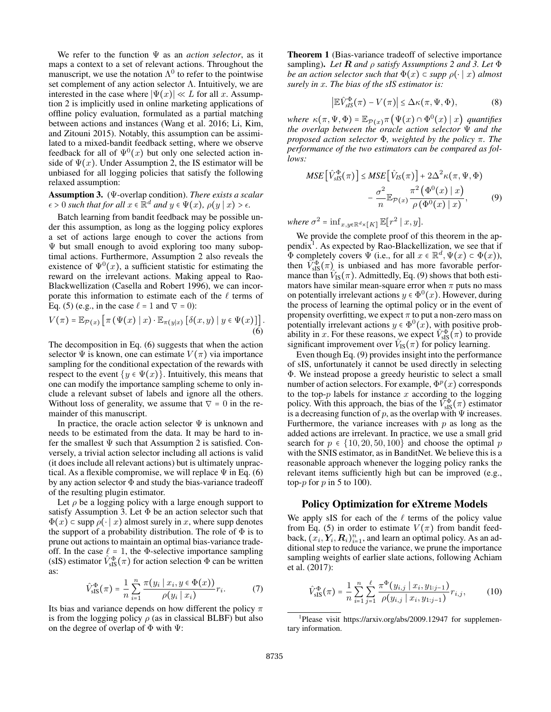We refer to the function  $\Psi$  as an *action selector*, as it maps a context to a set of relevant actions. Throughout the manuscript, we use the notation  $\Lambda^0$  to refer to the pointwise set complement of any action selector  $\Lambda$ . Intuitively, we are interested in the case where  $|\Psi(x)| \ll L$  for all x. Assumption 2 is implicitly used in online marketing applications of offline policy evaluation, formulated as a partial matching between actions and instances (Wang et al. 2016; Li, Kim, and Zitouni 2015). Notably, this assumption can be assimilated to a mixed-bandit feedback setting, where we observe feedback for all of  $\Psi^0(x)$  but only one selected action inside of  $\Psi(x)$ . Under Assumption 2, the IS estimator will be unbiased for all logging policies that satisfy the following relaxed assumption:

Assumption 3. (Ψ-overlap condition). *There exists a scalar*  $\epsilon > 0$  such that for all  $x \in \mathbb{R}^d$  and  $y \in \Psi(x)$ ,  $\rho(y | x) > \epsilon$ .

Batch learning from bandit feedback may be possible under this assumption, as long as the logging policy explores a set of actions large enough to cover the actions from Ψ but small enough to avoid exploring too many suboptimal actions. Furthermore, Assumption 2 also reveals the existence of  $\Psi^0(x)$ , a sufficient statistic for estimating the reward on the irrelevant actions. Making appeal to Rao-Blackwellization (Casella and Robert 1996), we can incorporate this information to estimate each of the  $\ell$  terms of Eq. (5) (e.g., in the case  $\ell = 1$  and  $\nabla = 0$ ):

$$
V(\pi) = \mathbb{E}_{\mathcal{P}(x)} \left[ \pi \left( \Psi(x) \mid x \right) \cdot \mathbb{E}_{\pi(y|x)} \left[ \delta(x, y) \mid y \in \Psi(x) \right] \right].
$$
\n(6)

The decomposition in Eq. (6) suggests that when the action selector  $\Psi$  is known, one can estimate  $V(\pi)$  via importance sampling for the conditional expectation of the rewards with respect to the event  $\{y \in \Psi(x)\}\$ . Intuitively, this means that one can modify the importance sampling scheme to only include a relevant subset of labels and ignore all the others. Without loss of generality, we assume that  $\nabla = 0$  in the remainder of this manuscript.

In practice, the oracle action selector  $\Psi$  is unknown and needs to be estimated from the data. It may be hard to infer the smallest  $\Psi$  such that Assumption 2 is satisfied. Conversely, a trivial action selector including all actions is valid (it does include all relevant actions) but is ultimately unpractical. As a flexible compromise, we will replace  $\Psi$  in Eq. (6) by any action selector  $\Phi$  and study the bias-variance tradeoff of the resulting plugin estimator.

Let  $\rho$  be a logging policy with a large enough support to satisfy Assumption 3. Let  $\Phi$  be an action selector such that  $\Phi(x)$  ⊂ supp  $\rho(\cdot | x)$  almost surely in x, where supp denotes the support of a probability distribution. The role of  $\Phi$  is to prune out actions to maintain an optimal bias-variance tradeoff. In the case  $\ell = 1$ , the Φ-selective importance sampling (sIS) estimator  $\hat{V}_{\text{sIS}}^{\Phi}(\pi)$  for action selection  $\Phi$  can be written as:

$$
\hat{V}_{\text{sIS}}^{\Phi}(\pi) = \frac{1}{n} \sum_{i=1}^{n} \frac{\pi(y_i \mid x_i, y \in \Phi(x))}{\rho(y_i \mid x_i)} r_i.
$$
 (7)

Its bias and variance depends on how different the policy  $\pi$ is from the logging policy  $\rho$  (as in classical BLBF) but also on the degree of overlap of  $\Phi$  with  $\Psi$ :

Theorem 1 (Bias-variance tradeoff of selective importance sampling). *Let* R *and* ρ *satisfy Assumptions 2 and 3. Let* Φ *be an action selector such that*  $\Phi(x) \subset \text{supp } \rho(\cdot | x)$  *almost surely in* x*. The bias of the sIS estimator is:*

$$
\left|\mathbb{E}\hat{V}_{sIS}^{\Phi}(\pi) - V(\pi)\right| \leq \Delta\kappa(\pi,\Psi,\Phi),\tag{8}
$$

where  $\kappa(\pi, \Psi, \Phi) = \mathbb{E}_{\mathcal{P}(x)} \pi(\Psi(x) \cap \Phi^0(x) | x)$  *quantifies the overlap between the oracle action selector* Ψ *and the proposed action selector* Φ*, weighted by the policy* π*. The performance of the two estimators can be compared as follows:*

$$
MSE\left[\hat{V}_{sIS}^{\Phi}(\pi)\right] \leq MSE\left[\hat{V}_{IS}(\pi)\right] + 2\Delta^{2}\kappa(\pi,\Psi,\Phi) - \frac{\sigma^{2}}{n}\mathbb{E}_{\mathcal{P}(x)}\frac{\pi^{2}\left(\Phi^{0}(x) \mid x\right)}{\rho\left(\Phi^{0}(x) \mid x\right)},\tag{9}
$$

where  $\sigma^2 = \inf_{x,y \in \mathbb{R}^d \times [K]} \mathbb{E}[r^2 \mid x,y].$ 

We provide the complete proof of this theorem in the appendix<sup>1</sup>. As expected by Rao-Blackellization, we see that if  $\Phi$  completely covers  $\Psi$  (i.e., for all  $x \in \mathbb{R}^d$ ,  $\Psi(x) \subset \Phi(x)$ ), then  $V_{slS}^{\Phi}(\pi)$  is unbiased and has more favorable performance than  $V_{\text{IS}}(\pi)$ . Admittedly, Eq. (9) shows that both estimators have similar mean-square error when  $\pi$  puts no mass on potentially irrelevant actions  $y \in \Phi^0(x)$ . However, during the process of learning the optimal policy or in the event of propensity overfitting, we expect  $\pi$  to put a non-zero mass on potentially irrelevant actions  $y \in \Phi^0(x)$ , with positive probability in x. For these reasons, we expect  $\hat{V}_{\text{sIS}}^{\Phi}(\pi)$  to provide significant improvement over  $\hat{V}_{IS}(\pi)$  for policy learning.

Even though Eq. (9) provides insight into the performance of sIS, unfortunately it cannot be used directly in selecting Φ. We instead propose a greedy heuristic to select a small number of action selectors. For example,  $\Phi^p(x)$  corresponds to the top- $p$  labels for instance  $x$  according to the logging policy. With this approach, the bias of the  $\widetilde{V}_{\text{sIS}}^{\Phi}(\pi)$  estimator is a decreasing function of  $p$ , as the overlap with  $\Psi$  increases. Furthermore, the variance increases with  $p$  as long as the added actions are irrelevant. In practice, we use a small grid search for  $p \in \{10, 20, 50, 100\}$  and choose the optimal p with the SNIS estimator, as in BanditNet. We believe this is a reasonable approach whenever the logging policy ranks the relevant items sufficiently high but can be improved (e.g., top- $p$  for  $p$  in 5 to 100).

### Policy Optimization for eXtreme Models

We apply sIS for each of the  $\ell$  terms of the policy value from Eq. (5) in order to estimate  $V(\pi)$  from bandit feedback,  $(\hat{x}_i, \hat{Y}_i, R_i)_{i=1}^n$ , and learn an optimal policy. As an additional step to reduce the variance, we prune the importance sampling weights of earlier slate actions, following Achiam et al. (2017):

$$
\hat{V}_{\text{sIS}}^{\Phi}(\pi) = \frac{1}{n} \sum_{i=1}^{n} \sum_{j=1}^{\ell} \frac{\pi^{\Phi}(y_{i,j} \mid x_i, y_{1:j-1})}{\rho(y_{i,j} \mid x_i, y_{1:j-1})} r_{i,j}, \tag{10}
$$

<sup>&</sup>lt;sup>1</sup>Please visit https://arxiv.org/abs/2009.12947 for supplementary information.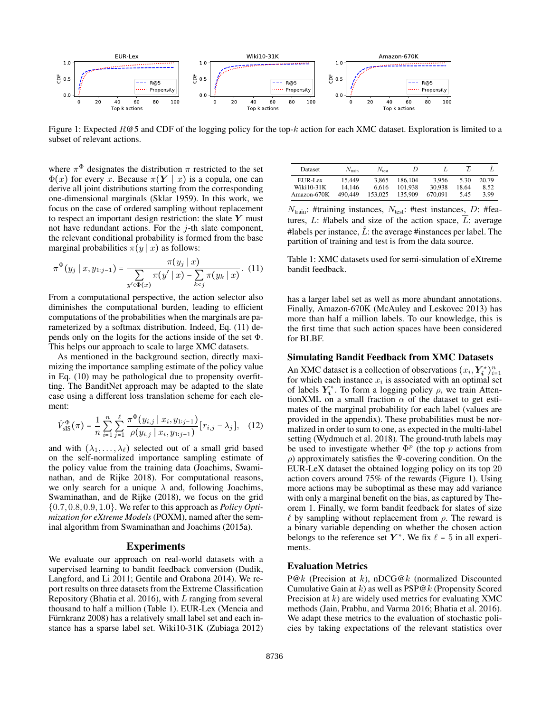

Figure 1: Expected  $R@5$  and CDF of the logging policy for the top-k action for each XMC dataset. Exploration is limited to a subset of relevant actions.

where  $\pi^{\Phi}$  designates the distribution  $\pi$  restricted to the set  $\Phi(x)$  for every x. Because  $\pi(Y | x)$  is a copula, one can derive all joint distributions starting from the corresponding one-dimensional marginals (Sklar 1959). In this work, we focus on the case of ordered sampling without replacement to respect an important design restriction: the slate  $Y$  must not have redundant actions. For the  $j$ -th slate component, the relevant conditional probability is formed from the base marginal probabilities  $\pi(y | x)$  as follows:

$$
\pi^{\Phi}(y_j \mid x, y_{1:j-1}) = \frac{\pi(y_j \mid x)}{\sum_{y' \in \Phi(x)} \pi(y' \mid x) - \sum_{k < j} \pi(y_k \mid x)}.\tag{11}
$$

From a computational perspective, the action selector also diminishes the computational burden, leading to efficient computations of the probabilities when the marginals are parameterized by a softmax distribution. Indeed, Eq. (11) depends only on the logits for the actions inside of the set Φ. This helps our approach to scale to large XMC datasets.

As mentioned in the background section, directly maximizing the importance sampling estimate of the policy value in Eq. (10) may be pathological due to propensity overfitting. The BanditNet approach may be adapted to the slate case using a different loss translation scheme for each element:

$$
\hat{V}_{\text{sIS}}^{\Phi}(\pi) = \frac{1}{n} \sum_{i=1}^{n} \sum_{j=1}^{\ell} \frac{\pi^{\Phi}(y_{i,j} \mid x_i, y_{1:j-1})}{\rho(y_{i,j} \mid x_i, y_{1:j-1})} [r_{i,j} - \lambda_j], \quad (12)
$$

and with  $(\lambda_1, \ldots, \lambda_\ell)$  selected out of a small grid based on the self-normalized importance sampling estimate of the policy value from the training data (Joachims, Swaminathan, and de Rijke 2018). For computational reasons, we only search for a unique  $\lambda$  and, following Joachims, Swaminathan, and de Rijke (2018), we focus on the grid {0.7, 0.8, 0.9, 1.0}. We refer to this approach as *Policy Optimization for eXtreme Models* (POXM), named after the seminal algorithm from Swaminathan and Joachims (2015a).

#### Experiments

We evaluate our approach on real-world datasets with a supervised learning to bandit feedback conversion (Dudik, Langford, and Li 2011; Gentile and Orabona 2014). We report results on three datasets from the Extreme Classification Repository (Bhatia et al. 2016), with L ranging from several thousand to half a million (Table 1). EUR-Lex (Mencia and Fürnkranz 2008) has a relatively small label set and each instance has a sparse label set. Wiki10-31K (Zubiaga 2012)

| Dataset        | $N_{\rm train}$ | $N_{\text{test}}$ | D       |         |       |       |
|----------------|-----------------|-------------------|---------|---------|-------|-------|
| $EUREI$ . $Ex$ | 15.449          | 3.865             | 186.104 | 3.956   | 5.30  | 20.79 |
| $Wiki10-31K$   | 14.146          | 6.616             | 101.938 | 30.938  | 18.64 | 8.52  |
| Amazon-670K    | 490.449         | 153,025           | 135,909 | 670.091 | 5.45  | 3.99  |

 $N<sub>train</sub>:$ #training instances,  $N<sub>test</sub>:$ #test instances, D: #features, L: #labels and size of the action space,  $\overline{L}$ : average #labels per instance,  $\hat{L}$ : the average #instances per label. The partition of training and test is from the data source.

Table 1: XMC datasets used for semi-simulation of eXtreme bandit feedback.

has a larger label set as well as more abundant annotations. Finally, Amazon-670K (McAuley and Leskovec 2013) has more than half a million labels. To our knowledge, this is the first time that such action spaces have been considered for BLBF.

#### Simulating Bandit Feedback from XMC Datasets

An XMC dataset is a collection of observations  $(x_i, Y_i^*)_{i=1}^n$ for which each instance  $x_i$  is associated with an optimal set of labels  $Y_i^*$ . To form a logging policy  $\rho$ , we train AttentionXML on a small fraction  $\alpha$  of the dataset to get estimates of the marginal probability for each label (values are provided in the appendix). These probabilities must be normalized in order to sum to one, as expected in the multi-label setting (Wydmuch et al. 2018). The ground-truth labels may be used to investigate whether  $\Phi^p$  (the top p actions from ρ) approximately satisfies the Ψ-covering condition. On the EUR-LeX dataset the obtained logging policy on its top 20 action covers around 75% of the rewards (Figure 1). Using more actions may be suboptimal as these may add variance with only a marginal benefit on the bias, as captured by Theorem 1. Finally, we form bandit feedback for slates of size  $\ell$  by sampling without replacement from  $\rho$ . The reward is a binary variable depending on whether the chosen action belongs to the reference set  $Y^*$ . We fix  $\ell = 5$  in all experiments.

#### Evaluation Metrics

 $P@k$  (Precision at k), nDCG@k (normalized Discounted Cumulative Gain at k) as well as  $PSP@k$  (Propensity Scored Precision at  $k$ ) are widely used metrics for evaluating XMC methods (Jain, Prabhu, and Varma 2016; Bhatia et al. 2016). We adapt these metrics to the evaluation of stochastic policies by taking expectations of the relevant statistics over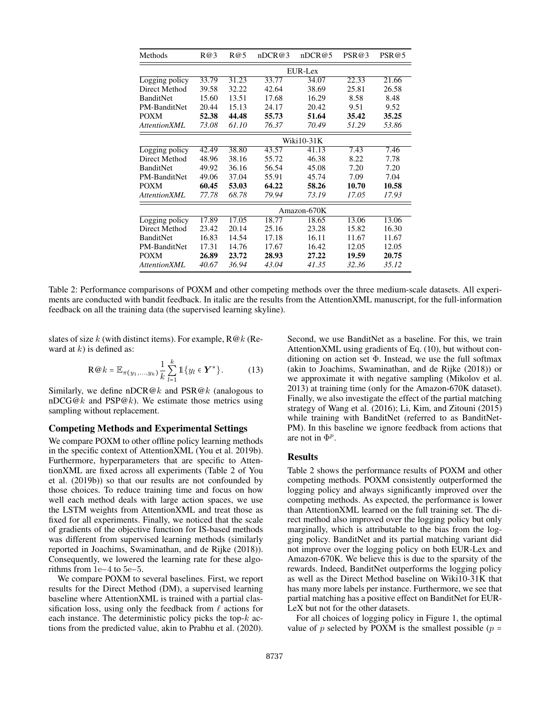| Methods             | R@3         | R@5   | nDCR@3 | nDCR@5 | PSR@3 | PSR@5 |  |  |  |
|---------------------|-------------|-------|--------|--------|-------|-------|--|--|--|
|                     | EUR-Lex     |       |        |        |       |       |  |  |  |
| Logging policy      | 33.79       | 31.23 | 33.77  | 34.07  | 22.33 | 21.66 |  |  |  |
| Direct Method       | 39.58       | 32.22 | 42.64  | 38.69  | 25.81 | 26.58 |  |  |  |
| <b>BanditNet</b>    | 15.60       | 13.51 | 17.68  | 16.29  | 8.58  | 8.48  |  |  |  |
| PM-BanditNet        | 20.44       | 15.13 | 24.17  | 20.42  | 9.51  | 9.52  |  |  |  |
| <b>POXM</b>         | 52.38       | 44.48 | 55.73  | 51.64  | 35.42 | 35.25 |  |  |  |
| <b>AttentionXML</b> | 73.08       | 61.10 | 76.37  | 70.49  | 51.29 | 53.86 |  |  |  |
|                     | Wiki10-31K  |       |        |        |       |       |  |  |  |
| Logging policy      | 42.49       | 38.80 | 43.57  | 41.13  | 7.43  | 7.46  |  |  |  |
| Direct Method       | 48.96       | 38.16 | 55.72  | 46.38  | 8.22  | 7.78  |  |  |  |
| BanditNet           | 49.92       | 36.16 | 56.54  | 45.08  | 7.20  | 7.20  |  |  |  |
| PM-BanditNet        | 49.06       | 37.04 | 55.91  | 45.74  | 7.09  | 7.04  |  |  |  |
| <b>POXM</b>         | 60.45       | 53.03 | 64.22  | 58.26  | 10.70 | 10.58 |  |  |  |
| AttentionXML        | 77.78       | 68.78 | 79.94  | 73.19  | 17.05 | 17.93 |  |  |  |
|                     | Amazon-670K |       |        |        |       |       |  |  |  |
| Logging policy      | 17.89       | 17.05 | 18.77  | 18.65  | 13.06 | 13.06 |  |  |  |
| Direct Method       | 23.42       | 20.14 | 25.16  | 23.28  | 15.82 | 16.30 |  |  |  |
| <b>BanditNet</b>    | 16.83       | 14.54 | 17.18  | 16.11  | 11.67 | 11.67 |  |  |  |
| PM-BanditNet        | 17.31       | 14.76 | 17.67  | 16.42  | 12.05 | 12.05 |  |  |  |
| <b>POXM</b>         | 26.89       | 23.72 | 28.93  | 27.22  | 19.59 | 20.75 |  |  |  |
| AttentionXML        | 40.67       | 36.94 | 43.04  | 41.35  | 32.36 | 35.12 |  |  |  |

Table 2: Performance comparisons of POXM and other competing methods over the three medium-scale datasets. All experiments are conducted with bandit feedback. In italic are the results from the AttentionXML manuscript, for the full-information feedback on all the training data (the supervised learning skyline).

slates of size k (with distinct items). For example,  $R@k$  (Reward at  $k$ ) is defined as:

$$
\mathbf{R} \otimes k = \mathbb{E}_{\pi(y_1,\ldots,y_k)} \frac{1}{k} \sum_{l=1}^k \mathbb{1} \{ y_l \in \mathbf{Y}^* \}. \tag{13}
$$

Similarly, we define nDCR@k and  $PSR@k$  (analogous to  $nDCG@k$  and  $PSP@k$ ). We estimate those metrics using sampling without replacement.

## Competing Methods and Experimental Settings

We compare POXM to other offline policy learning methods in the specific context of AttentionXML (You et al. 2019b). Furthermore, hyperparameters that are specific to AttentionXML are fixed across all experiments (Table 2 of You et al. (2019b)) so that our results are not confounded by those choices. To reduce training time and focus on how well each method deals with large action spaces, we use the LSTM weights from AttentionXML and treat those as fixed for all experiments. Finally, we noticed that the scale of gradients of the objective function for IS-based methods was different from supervised learning methods (similarly reported in Joachims, Swaminathan, and de Rijke (2018)). Consequently, we lowered the learning rate for these algorithms from 1e−4 to 5e−5.

We compare POXM to several baselines. First, we report results for the Direct Method (DM), a supervised learning baseline where AttentionXML is trained with a partial classification loss, using only the feedback from  $\ell$  actions for each instance. The deterministic policy picks the top- $k$  actions from the predicted value, akin to Prabhu et al. (2020).

Second, we use BanditNet as a baseline. For this, we train AttentionXML using gradients of Eq. (10), but without conditioning on action set  $\Phi$ . Instead, we use the full softmax (akin to Joachims, Swaminathan, and de Rijke (2018)) or we approximate it with negative sampling (Mikolov et al. 2013) at training time (only for the Amazon-670K dataset). Finally, we also investigate the effect of the partial matching strategy of Wang et al. (2016); Li, Kim, and Zitouni (2015) while training with BanditNet (referred to as BanditNet-PM). In this baseline we ignore feedback from actions that are not in  $\Phi^p$ .

#### Results

Table 2 shows the performance results of POXM and other competing methods. POXM consistently outperformed the logging policy and always significantly improved over the competing methods. As expected, the performance is lower than AttentionXML learned on the full training set. The direct method also improved over the logging policy but only marginally, which is attributable to the bias from the logging policy. BanditNet and its partial matching variant did not improve over the logging policy on both EUR-Lex and Amazon-670K. We believe this is due to the sparsity of the rewards. Indeed, BanditNet outperforms the logging policy as well as the Direct Method baseline on Wiki10-31K that has many more labels per instance. Furthermore, we see that partial matching has a positive effect on BanditNet for EUR-LeX but not for the other datasets.

For all choices of logging policy in Figure 1, the optimal value of p selected by POXM is the smallest possible ( $p =$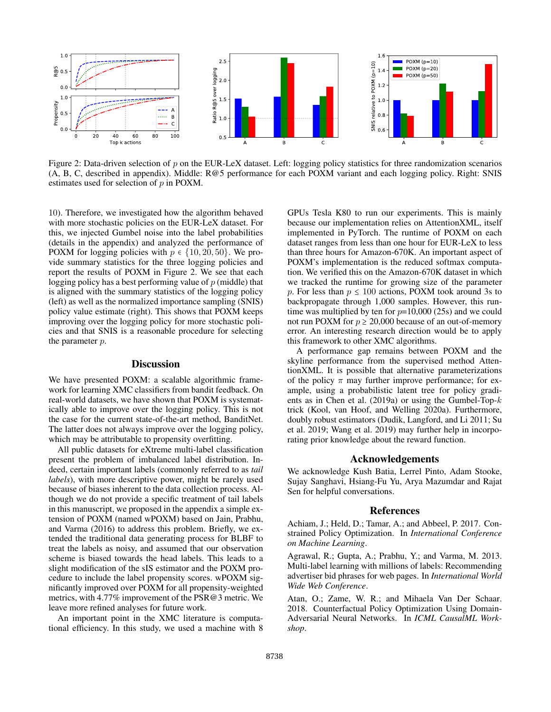

Figure 2: Data-driven selection of p on the EUR-LeX dataset. Left: logging policy statistics for three randomization scenarios (A, B, C, described in appendix). Middle: R@5 performance for each POXM variant and each logging policy. Right: SNIS estimates used for selection of p in POXM.

10). Therefore, we investigated how the algorithm behaved with more stochastic policies on the EUR-LeX dataset. For this, we injected Gumbel noise into the label probabilities (details in the appendix) and analyzed the performance of POXM for logging policies with  $p \in \{10, 20, 50\}$ . We provide summary statistics for the three logging policies and report the results of POXM in Figure 2. We see that each logging policy has a best performing value of  $p$  (middle) that is aligned with the summary statistics of the logging policy (left) as well as the normalized importance sampling (SNIS) policy value estimate (right). This shows that POXM keeps improving over the logging policy for more stochastic policies and that SNIS is a reasonable procedure for selecting the parameter p.

### **Discussion**

We have presented POXM: a scalable algorithmic framework for learning XMC classifiers from bandit feedback. On real-world datasets, we have shown that POXM is systematically able to improve over the logging policy. This is not the case for the current state-of-the-art method, BanditNet. The latter does not always improve over the logging policy, which may be attributable to propensity overfitting.

All public datasets for eXtreme multi-label classification present the problem of imbalanced label distribution. Indeed, certain important labels (commonly referred to as *tail labels*), with more descriptive power, might be rarely used because of biases inherent to the data collection process. Although we do not provide a specific treatment of tail labels in this manuscript, we proposed in the appendix a simple extension of POXM (named wPOXM) based on Jain, Prabhu, and Varma (2016) to address this problem. Briefly, we extended the traditional data generating process for BLBF to treat the labels as noisy, and assumed that our observation scheme is biased towards the head labels. This leads to a slight modification of the sIS estimator and the POXM procedure to include the label propensity scores. wPOXM significantly improved over POXM for all propensity-weighted metrics, with 4.77% improvement of the PSR@3 metric. We leave more refined analyses for future work.

An important point in the XMC literature is computational efficiency. In this study, we used a machine with 8 GPUs Tesla K80 to run our experiments. This is mainly because our implementation relies on AttentionXML, itself implemented in PyTorch. The runtime of POXM on each dataset ranges from less than one hour for EUR-LeX to less than three hours for Amazon-670K. An important aspect of POXM's implementation is the reduced softmax computation. We verified this on the Amazon-670K dataset in which we tracked the runtime for growing size of the parameter p. For less than  $p \le 100$  actions, POXM took around 3s to backpropagate through 1,000 samples. However, this runtime was multiplied by ten for  $p=10,000$  (25s) and we could not run POXM for  $p \ge 20,000$  because of an out-of-memory error. An interesting research direction would be to apply this framework to other XMC algorithms.

A performance gap remains between POXM and the skyline performance from the supervised method AttentionXML. It is possible that alternative parameterizations of the policy  $\pi$  may further improve performance; for example, using a probabilistic latent tree for policy gradients as in Chen et al.  $(2019a)$  or using the Gumbel-Top- $k$ trick (Kool, van Hoof, and Welling 2020a). Furthermore, doubly robust estimators (Dudik, Langford, and Li 2011; Su et al. 2019; Wang et al. 2019) may further help in incorporating prior knowledge about the reward function.

## Acknowledgements

We acknowledge Kush Batia, Lerrel Pinto, Adam Stooke, Sujay Sanghavi, Hsiang-Fu Yu, Arya Mazumdar and Rajat Sen for helpful conversations.

#### References

Achiam, J.; Held, D.; Tamar, A.; and Abbeel, P. 2017. Constrained Policy Optimization. In *International Conference on Machine Learning*.

Agrawal, R.; Gupta, A.; Prabhu, Y.; and Varma, M. 2013. Multi-label learning with millions of labels: Recommending advertiser bid phrases for web pages. In *International World Wide Web Conference*.

Atan, O.; Zame, W. R.; and Mihaela Van Der Schaar. 2018. Counterfactual Policy Optimization Using Domain-Adversarial Neural Networks. In *ICML CausalML Workshop*.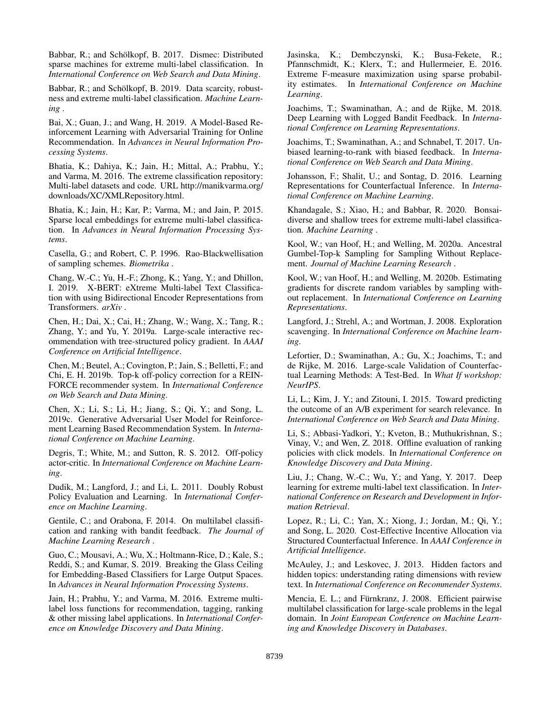Babbar, R.; and Schölkopf, B. 2017. Dismec: Distributed sparse machines for extreme multi-label classification. In *International Conference on Web Search and Data Mining*.

Babbar, R.; and Schölkopf, B. 2019. Data scarcity, robustness and extreme multi-label classification. *Machine Learning* .

Bai, X.; Guan, J.; and Wang, H. 2019. A Model-Based Reinforcement Learning with Adversarial Training for Online Recommendation. In *Advances in Neural Information Processing Systems*.

Bhatia, K.; Dahiya, K.; Jain, H.; Mittal, A.; Prabhu, Y.; and Varma, M. 2016. The extreme classification repository: Multi-label datasets and code. URL http://manikvarma.org/ downloads/XC/XMLRepository.html.

Bhatia, K.; Jain, H.; Kar, P.; Varma, M.; and Jain, P. 2015. Sparse local embeddings for extreme multi-label classification. In *Advances in Neural Information Processing Systems*.

Casella, G.; and Robert, C. P. 1996. Rao-Blackwellisation of sampling schemes. *Biometrika* .

Chang, W.-C.; Yu, H.-F.; Zhong, K.; Yang, Y.; and Dhillon, I. 2019. X-BERT: eXtreme Multi-label Text Classification with using Bidirectional Encoder Representations from Transformers. *arXiv* .

Chen, H.; Dai, X.; Cai, H.; Zhang, W.; Wang, X.; Tang, R.; Zhang, Y.; and Yu, Y. 2019a. Large-scale interactive recommendation with tree-structured policy gradient. In *AAAI Conference on Artificial Intelligence*.

Chen, M.; Beutel, A.; Covington, P.; Jain, S.; Belletti, F.; and Chi, E. H. 2019b. Top-k off-policy correction for a REIN-FORCE recommender system. In *International Conference on Web Search and Data Mining*.

Chen, X.; Li, S.; Li, H.; Jiang, S.; Qi, Y.; and Song, L. 2019c. Generative Adversarial User Model for Reinforcement Learning Based Recommendation System. In *International Conference on Machine Learning*.

Degris, T.; White, M.; and Sutton, R. S. 2012. Off-policy actor-critic. In *International Conference on Machine Learning*.

Dudik, M.; Langford, J.; and Li, L. 2011. Doubly Robust Policy Evaluation and Learning. In *International Conference on Machine Learning*.

Gentile, C.; and Orabona, F. 2014. On multilabel classification and ranking with bandit feedback. *The Journal of Machine Learning Research* .

Guo, C.; Mousavi, A.; Wu, X.; Holtmann-Rice, D.; Kale, S.; Reddi, S.; and Kumar, S. 2019. Breaking the Glass Ceiling for Embedding-Based Classifiers for Large Output Spaces. In *Advances in Neural Information Processing Systems*.

Jain, H.; Prabhu, Y.; and Varma, M. 2016. Extreme multilabel loss functions for recommendation, tagging, ranking & other missing label applications. In *International Conference on Knowledge Discovery and Data Mining*.

Jasinska, K.; Dembczynski, K.; Busa-Fekete, R.; Pfannschmidt, K.; Klerx, T.; and Hullermeier, E. 2016. Extreme F-measure maximization using sparse probability estimates. In *International Conference on Machine Learning*.

Joachims, T.; Swaminathan, A.; and de Rijke, M. 2018. Deep Learning with Logged Bandit Feedback. In *International Conference on Learning Representations*.

Joachims, T.; Swaminathan, A.; and Schnabel, T. 2017. Unbiased learning-to-rank with biased feedback. In *International Conference on Web Search and Data Mining*.

Johansson, F.; Shalit, U.; and Sontag, D. 2016. Learning Representations for Counterfactual Inference. In *International Conference on Machine Learning*.

Khandagale, S.; Xiao, H.; and Babbar, R. 2020. Bonsaidiverse and shallow trees for extreme multi-label classification. *Machine Learning* .

Kool, W.; van Hoof, H.; and Welling, M. 2020a. Ancestral Gumbel-Top-k Sampling for Sampling Without Replacement. *Journal of Machine Learning Research* .

Kool, W.; van Hoof, H.; and Welling, M. 2020b. Estimating gradients for discrete random variables by sampling without replacement. In *International Conference on Learning Representations*.

Langford, J.; Strehl, A.; and Wortman, J. 2008. Exploration scavenging. In *International Conference on Machine learning*.

Lefortier, D.; Swaminathan, A.; Gu, X.; Joachims, T.; and de Rijke, M. 2016. Large-scale Validation of Counterfactual Learning Methods: A Test-Bed. In *What If workshop: NeurIPS*.

Li, L.; Kim, J. Y.; and Zitouni, I. 2015. Toward predicting the outcome of an A/B experiment for search relevance. In *International Conference on Web Search and Data Mining*.

Li, S.; Abbasi-Yadkori, Y.; Kveton, B.; Muthukrishnan, S.; Vinay, V.; and Wen, Z. 2018. Offline evaluation of ranking policies with click models. In *International Conference on Knowledge Discovery and Data Mining*.

Liu, J.; Chang, W.-C.; Wu, Y.; and Yang, Y. 2017. Deep learning for extreme multi-label text classification. In *International Conference on Research and Development in Information Retrieval*.

Lopez, R.; Li, C.; Yan, X.; Xiong, J.; Jordan, M.; Qi, Y.; and Song, L. 2020. Cost-Effective Incentive Allocation via Structured Counterfactual Inference. In *AAAI Conference in Artificial Intelligence*.

McAuley, J.; and Leskovec, J. 2013. Hidden factors and hidden topics: understanding rating dimensions with review text. In *International Conference on Recommender Systems*.

Mencia, E. L.; and Fürnkranz, J. 2008. Efficient pairwise multilabel classification for large-scale problems in the legal domain. In *Joint European Conference on Machine Learning and Knowledge Discovery in Databases*.